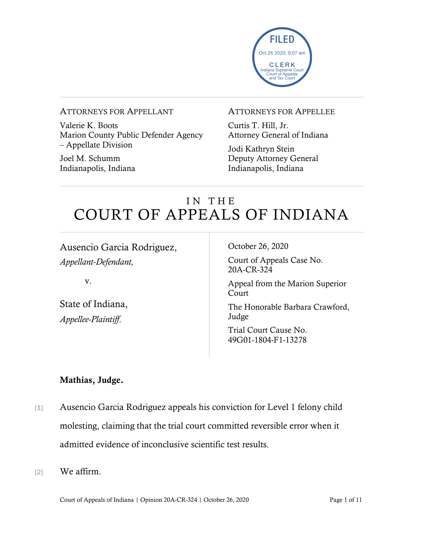

#### ATTORNEYS FOR APPELLANT

Valerie K. Boots Marion County Public Defender Agency – Appellate Division

Joel M. Schumm Indianapolis, Indiana

#### ATTORNEYS FOR APPELLEE

Curtis T. Hill, Jr. Attorney General of Indiana

Jodi Kathryn Stein Deputy Attorney General Indianapolis, Indiana

# IN THE COURT OF APPEALS OF INDIANA

Ausencio Garcia Rodriguez, *Appellant-Defendant,*

v.

State of Indiana, *Appellee-Plaintiff*.

October 26, 2020

Court of Appeals Case No. 20A-CR-324

Appeal from the Marion Superior **Court** 

The Honorable Barbara Crawford, Judge

Trial Court Cause No. 49G01-1804-F1-13278

#### Mathias, Judge.

- [1] Ausencio Garcia Rodriguez appeals his conviction for Level 1 felony child molesting, claiming that the trial court committed reversible error when it admitted evidence of inconclusive scientific test results.
- [2] We affirm.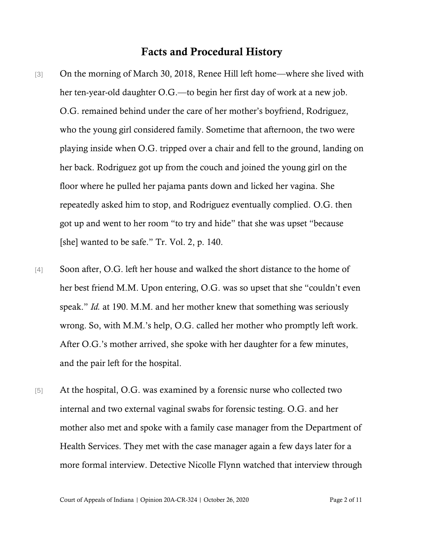#### Facts and Procedural History

- [3] On the morning of March 30, 2018, Renee Hill left home—where she lived with her ten-year-old daughter O.G.—to begin her first day of work at a new job. O.G. remained behind under the care of her mother's boyfriend, Rodriguez, who the young girl considered family. Sometime that afternoon, the two were playing inside when O.G. tripped over a chair and fell to the ground, landing on her back. Rodriguez got up from the couch and joined the young girl on the floor where he pulled her pajama pants down and licked her vagina. She repeatedly asked him to stop, and Rodriguez eventually complied. O.G. then got up and went to her room "to try and hide" that she was upset "because [she] wanted to be safe." Tr. Vol. 2, p. 140.
- [4] Soon after, O.G. left her house and walked the short distance to the home of her best friend M.M. Upon entering, O.G. was so upset that she "couldn't even speak." *Id.* at 190. M.M. and her mother knew that something was seriously wrong. So, with M.M.'s help, O.G. called her mother who promptly left work. After O.G.'s mother arrived, she spoke with her daughter for a few minutes, and the pair left for the hospital.
- [5] At the hospital, O.G. was examined by a forensic nurse who collected two internal and two external vaginal swabs for forensic testing. O.G. and her mother also met and spoke with a family case manager from the Department of Health Services. They met with the case manager again a few days later for a more formal interview. Detective Nicolle Flynn watched that interview through

Court of Appeals of Indiana | Opinion 20A-CR-324 | October 26, 2020 Page 2 of 11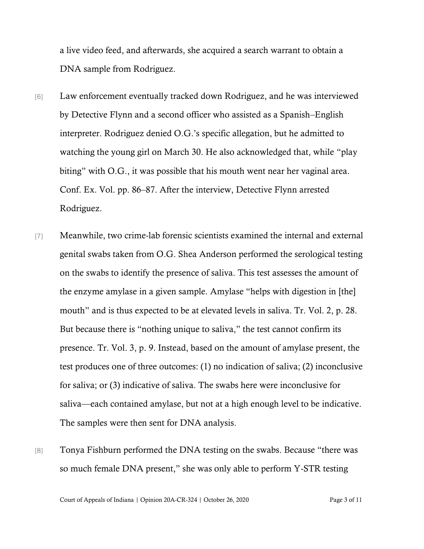a live video feed, and afterwards, she acquired a search warrant to obtain a DNA sample from Rodriguez.

- [6] Law enforcement eventually tracked down Rodriguez, and he was interviewed by Detective Flynn and a second officer who assisted as a Spanish–English interpreter. Rodriguez denied O.G.'s specific allegation, but he admitted to watching the young girl on March 30. He also acknowledged that, while "play biting" with O.G., it was possible that his mouth went near her vaginal area. Conf. Ex. Vol. pp. 86–87. After the interview, Detective Flynn arrested Rodriguez.
- [7] Meanwhile, two crime-lab forensic scientists examined the internal and external genital swabs taken from O.G. Shea Anderson performed the serological testing on the swabs to identify the presence of saliva. This test assesses the amount of the enzyme amylase in a given sample. Amylase "helps with digestion in [the] mouth" and is thus expected to be at elevated levels in saliva. Tr. Vol. 2, p. 28. But because there is "nothing unique to saliva," the test cannot confirm its presence. Tr. Vol. 3, p. 9. Instead, based on the amount of amylase present, the test produces one of three outcomes: (1) no indication of saliva; (2) inconclusive for saliva; or (3) indicative of saliva. The swabs here were inconclusive for saliva—each contained amylase, but not at a high enough level to be indicative. The samples were then sent for DNA analysis.
- [8] Tonya Fishburn performed the DNA testing on the swabs. Because "there was so much female DNA present," she was only able to perform Y-STR testing

Court of Appeals of Indiana | Opinion 20A-CR-324 | October 26, 2020 Page 3 of 11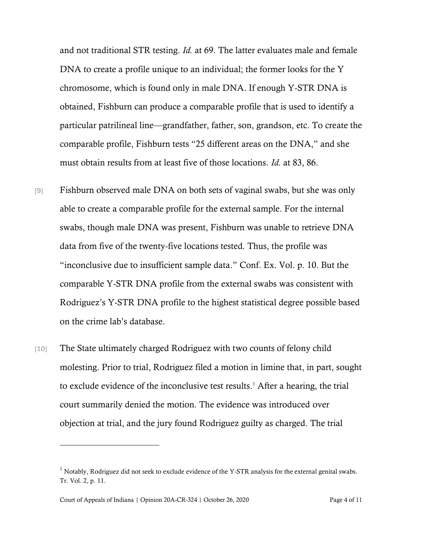and not traditional STR testing. *Id.* at 69. The latter evaluates male and female DNA to create a profile unique to an individual; the former looks for the Y chromosome, which is found only in male DNA. If enough Y-STR DNA is obtained, Fishburn can produce a comparable profile that is used to identify a particular patrilineal line—grandfather, father, son, grandson, etc. To create the comparable profile, Fishburn tests "25 different areas on the DNA," and she must obtain results from at least five of those locations. *Id.* at 83, 86.

- [9] Fishburn observed male DNA on both sets of vaginal swabs, but she was only able to create a comparable profile for the external sample. For the internal swabs, though male DNA was present, Fishburn was unable to retrieve DNA data from five of the twenty-five locations tested*.* Thus, the profile was "inconclusive due to insufficient sample data." Conf. Ex. Vol. p. 10. But the comparable Y-STR DNA profile from the external swabs was consistent with Rodriguez's Y-STR DNA profile to the highest statistical degree possible based on the crime lab's database.
- [10] The State ultimately charged Rodriguez with two counts of felony child molesting. Prior to trial, Rodriguez filed a motion in limine that, in part, sought to exclude evidence of the inconclusive test results.<sup>1</sup> After a hearing, the trial court summarily denied the motion. The evidence was introduced over objection at trial, and the jury found Rodriguez guilty as charged. The trial

<sup>&</sup>lt;sup>1</sup> Notably, Rodriguez did not seek to exclude evidence of the Y-STR analysis for the external genital swabs. Tr. Vol. 2, p. 11.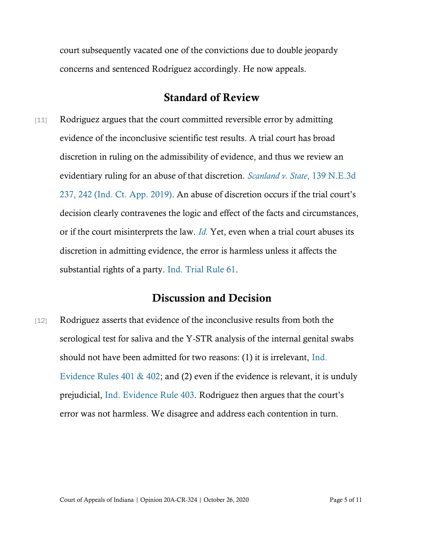court subsequently vacated one of the convictions due to double jeopardy concerns and sentenced Rodriguez accordingly. He now appeals.

## Standard of Review

[11] Rodriguez argues that the court committed reversible error by admitting evidence of the inconclusive scientific test results. A trial court has broad discretion in ruling on the admissibility of evidence, and thus we review an evidentiary ruling for an abuse of that discretion. *[Scanland v. State](https://www.westlaw.com/Document/Ib1640010228f11eaac0ee4466ee51240/View/FullText.html?transitionType=Default&contextData=(sc.Default)&VR=3.0&RS=da3.0&fragmentIdentifier=co_pp_sp_7902_242)*, 139 N.E.3d [237, 242 \(Ind. Ct.](https://www.westlaw.com/Document/Ib1640010228f11eaac0ee4466ee51240/View/FullText.html?transitionType=Default&contextData=(sc.Default)&VR=3.0&RS=da3.0&fragmentIdentifier=co_pp_sp_7902_242) App. 2019). An abuse of discretion occurs if the trial court's decision clearly contravenes the logic and effect of the facts and circumstances, or if the court misinterprets the law. *[Id.](https://www.westlaw.com/Document/Ib1640010228f11eaac0ee4466ee51240/View/FullText.html?transitionType=Default&contextData=(sc.Default)&VR=3.0&RS=da3.0&fragmentIdentifier=co_pp_sp_7902_242)* Yet, even when a trial court abuses its discretion in admitting evidence, the error is harmless unless it affects the substantial rights of a party. [Ind. Trial Rule 61.](https://www.westlaw.com/Document/ND0AB1EB0816F11DB8132CD13D2280436/View/FullText.html?transitionType=Default&contextData=(sc.Default)&VR=3.0&RS=da3.0)

# Discussion and Decision

[12] Rodriguez asserts that evidence of the inconclusive results from both the serological test for saliva and the Y-STR analysis of the internal genital swabs should not have been admitted for two reasons: (1) it is irrelevant, [Ind.](https://www.westlaw.com/Document/N7EF600F0B6EC11DB8050D108B1AFD816/View/FullText.html?transitionType=Default&contextData=(sc.Default)&VR=3.0&RS=da3.0)  [Evidence Rules 401 & 402;](https://www.westlaw.com/Document/N7EF600F0B6EC11DB8050D108B1AFD816/View/FullText.html?transitionType=Default&contextData=(sc.Default)&VR=3.0&RS=da3.0) and (2) even if the evidence is relevant, it is unduly prejudicial, [Ind. Evidence Rule 403](https://www.westlaw.com/Document/N824049F0B6EC11DB8050D108B1AFD816/View/FullText.html?transitionType=Default&contextData=(sc.Default)&VR=3.0&RS=da3.0). Rodriguez then argues that the court's error was not harmless. We disagree and address each contention in turn.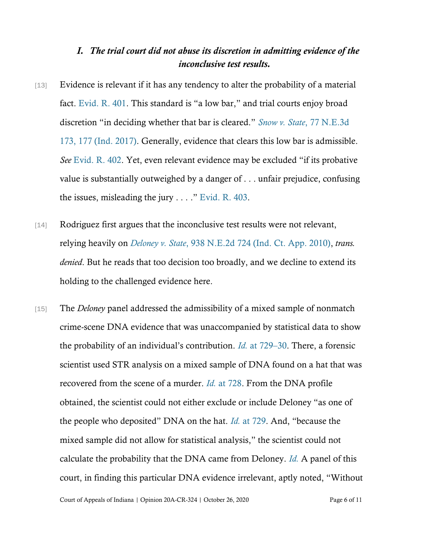#### *I. The trial court did not abuse its discretion in admitting evidence of the inconclusive test results.*

- [13] Evidence is relevant if it has any tendency to alter the probability of a material fact. [Evid.](https://www.westlaw.com/Document/N7EF600F0B6EC11DB8050D108B1AFD816/View/FullText.html?transitionType=Default&contextData=(sc.Default)&VR=3.0&RS=da3.0) [R. 401](https://www.westlaw.com/Document/N7EF600F0B6EC11DB8050D108B1AFD816/View/FullText.html?transitionType=Default&contextData=(sc.Default)&VR=3.0&RS=da3.0). This standard is "a low bar," and trial courts enjoy broad discretion "in deciding whether that bar is cleared." *[Snow v. State](https://www.westlaw.com/Document/Iff21324057cc11e794a1f7ff5c621124/View/FullText.html?transitionType=Default&contextData=(sc.Default)&VR=3.0&RS=da3.0&fragmentIdentifier=co_pp_sp_7902_177)*, 77 N.E.3d [173, 177 \(Ind. 2017\).](https://www.westlaw.com/Document/Iff21324057cc11e794a1f7ff5c621124/View/FullText.html?transitionType=Default&contextData=(sc.Default)&VR=3.0&RS=da3.0&fragmentIdentifier=co_pp_sp_7902_177) Generally, evidence that clears this low bar is admissible. *See* [Evid.](https://www.westlaw.com/Document/N80322A70B6EC11DB8050D108B1AFD816/View/FullText.html?transitionType=Default&contextData=(sc.Default)&VR=3.0&RS=da3.0) [R. 402](https://www.westlaw.com/Document/N80322A70B6EC11DB8050D108B1AFD816/View/FullText.html?transitionType=Default&contextData=(sc.Default)&VR=3.0&RS=da3.0). Yet, even relevant evidence may be excluded "if its probative value is substantially outweighed by a danger of . . . unfair prejudice, confusing the issues, misleading the jury . . . ." [Evid.](https://www.westlaw.com/Document/N824049F0B6EC11DB8050D108B1AFD816/View/FullText.html?transitionType=Default&contextData=(sc.Default)&VR=3.0&RS=da3.0) [R. 403.](https://www.westlaw.com/Document/N824049F0B6EC11DB8050D108B1AFD816/View/FullText.html?transitionType=Default&contextData=(sc.Default)&VR=3.0&RS=da3.0)
- [14] Rodriguez first argues that the inconclusive test results were not relevant, relying heavily on *Deloney v. State*[, 938 N.E.2d 724 \(Ind. Ct. App. 2010\),](https://www.westlaw.com/Document/Id3d4557d0a7e11e0aa23bccc834e9520/View/FullText.html?transitionType=Default&contextData=(sc.Default)&VR=3.0&RS=da3.0) *trans. denied*. But he reads that too decision too broadly, and we decline to extend its holding to the challenged evidence here.
- [15] The *Deloney* panel addressed the admissibility of a mixed sample of nonmatch crime-scene DNA evidence that was unaccompanied by statistical data to show the probability of an individual's contribution. *Id.* [at 729](https://www.westlaw.com/Document/Id3d4557d0a7e11e0aa23bccc834e9520/View/FullText.html?transitionType=Default&contextData=(sc.Default)&VR=3.0&RS=da3.0&fragmentIdentifier=co_pp_sp_578_729)–30. There, a forensic scientist used STR analysis on a mixed sample of DNA found on a hat that was recovered from the scene of a murder. *Id.* [at 728.](https://www.westlaw.com/Document/Id3d4557d0a7e11e0aa23bccc834e9520/View/FullText.html?transitionType=Default&contextData=(sc.Default)&VR=3.0&RS=da3.0&fragmentIdentifier=co_pp_sp_578_728) From the DNA profile obtained, the scientist could not either exclude or include Deloney "as one of the people who deposited" DNA on the hat. *Id.* [at 729](https://www.westlaw.com/Document/Id3d4557d0a7e11e0aa23bccc834e9520/View/FullText.html?transitionType=Default&contextData=(sc.Default)&VR=3.0&RS=da3.0&fragmentIdentifier=co_pp_sp_578_729). And, "because the mixed sample did not allow for statistical analysis," the scientist could not calculate the probability that the DNA came from Deloney. *[Id.](https://www.westlaw.com/Document/Id3d4557d0a7e11e0aa23bccc834e9520/View/FullText.html?transitionType=Default&contextData=(sc.Default)&VR=3.0&RS=da3.0&fragmentIdentifier=co_pp_sp_578_729)* A panel of this court, in finding this particular DNA evidence irrelevant, aptly noted, "Without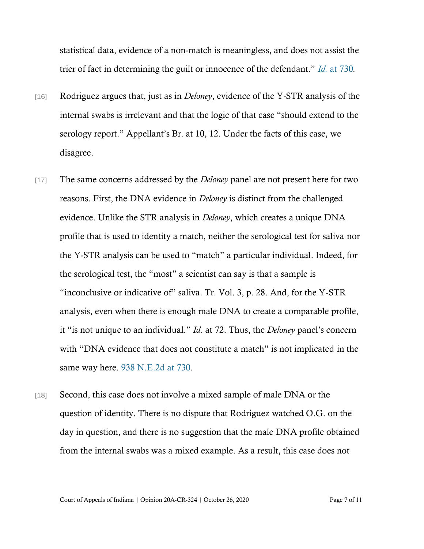statistical data, evidence of a non-match is meaningless, and does not assist the trier of fact in determining the guilt or innocence of the defendant." *Id.* [at 730](https://www.westlaw.com/Document/Id3d4557d0a7e11e0aa23bccc834e9520/View/FullText.html?transitionType=Default&contextData=(sc.Default)&VR=3.0&RS=da3.0&fragmentIdentifier=co_pp_sp_578_730)*.*

- [16] Rodriguez argues that, just as in *Deloney*, evidence of the Y-STR analysis of the internal swabs is irrelevant and that the logic of that case "should extend to the serology report." Appellant's Br. at 10, 12. Under the facts of this case, we disagree.
- [17] The same concerns addressed by the *Deloney* panel are not present here for two reasons. First, the DNA evidence in *Deloney* is distinct from the challenged evidence. Unlike the STR analysis in *Deloney*, which creates a unique DNA profile that is used to identity a match, neither the serological test for saliva nor the Y-STR analysis can be used to "match" a particular individual. Indeed, for the serological test, the "most" a scientist can say is that a sample is "inconclusive or indicative of" saliva. Tr. Vol. 3, p. 28. And, for the Y-STR analysis, even when there is enough male DNA to create a comparable profile, it "is not unique to an individual." *Id*. at 72. Thus, the *Deloney* panel's concern with "DNA evidence that does not constitute a match" is not implicated in the same way here. [938 N.E.2d at 730.](https://www.westlaw.com/Document/Id3d4557d0a7e11e0aa23bccc834e9520/View/FullText.html?transitionType=Default&contextData=(sc.Default)&VR=3.0&RS=da3.0&fragmentIdentifier=co_pp_sp_578_730)
- [18] Second, this case does not involve a mixed sample of male DNA or the question of identity. There is no dispute that Rodriguez watched O.G. on the day in question, and there is no suggestion that the male DNA profile obtained from the internal swabs was a mixed example. As a result, this case does not

Court of Appeals of Indiana | Opinion 20A-CR-324 | October 26, 2020 Page 7 of 11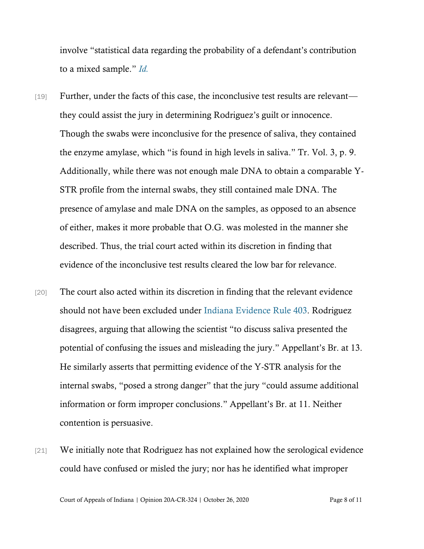involve "statistical data regarding the probability of a defendant's contribution to a mixed sample." *[Id.](https://www.westlaw.com/Document/Id3d4557d0a7e11e0aa23bccc834e9520/View/FullText.html?transitionType=Default&contextData=(sc.Default)&VR=3.0&RS=da3.0&fragmentIdentifier=co_pp_sp_578_730)*

- [19] Further, under the facts of this case, the inconclusive test results are relevant they could assist the jury in determining Rodriguez's guilt or innocence. Though the swabs were inconclusive for the presence of saliva, they contained the enzyme amylase, which "is found in high levels in saliva." Tr. Vol. 3, p. 9. Additionally, while there was not enough male DNA to obtain a comparable Y-STR profile from the internal swabs, they still contained male DNA. The presence of amylase and male DNA on the samples, as opposed to an absence of either, makes it more probable that O.G. was molested in the manner she described. Thus, the trial court acted within its discretion in finding that evidence of the inconclusive test results cleared the low bar for relevance.
- [20] The court also acted within its discretion in finding that the relevant evidence should not have been excluded under [Indiana Evidence Rule 403.](https://www.westlaw.com/Document/N824049F0B6EC11DB8050D108B1AFD816/View/FullText.html?transitionType=Default&contextData=(sc.Default)&VR=3.0&RS=da3.0) Rodriguez disagrees, arguing that allowing the scientist "to discuss saliva presented the potential of confusing the issues and misleading the jury." Appellant's Br. at 13. He similarly asserts that permitting evidence of the Y-STR analysis for the internal swabs, "posed a strong danger" that the jury "could assume additional information or form improper conclusions." Appellant's Br. at 11. Neither contention is persuasive.
- [21] We initially note that Rodriguez has not explained how the serological evidence could have confused or misled the jury; nor has he identified what improper

Court of Appeals of Indiana | Opinion 20A-CR-324 | October 26, 2020 Page 8 of 11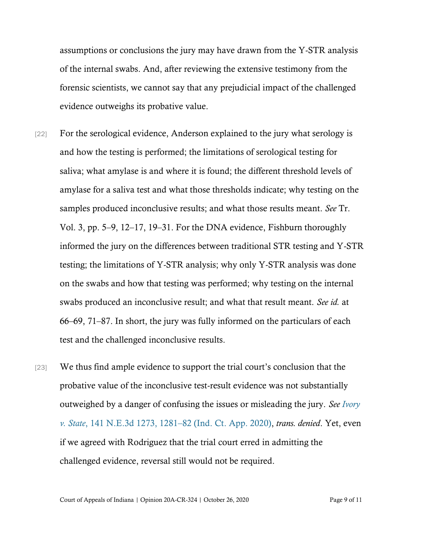assumptions or conclusions the jury may have drawn from the Y-STR analysis of the internal swabs. And, after reviewing the extensive testimony from the forensic scientists, we cannot say that any prejudicial impact of the challenged evidence outweighs its probative value.

- [22] For the serological evidence, Anderson explained to the jury what serology is and how the testing is performed; the limitations of serological testing for saliva; what amylase is and where it is found; the different threshold levels of amylase for a saliva test and what those thresholds indicate; why testing on the samples produced inconclusive results; and what those results meant. *See* Tr. Vol. 3, pp. 5–9, 12–17, 19–31. For the DNA evidence, Fishburn thoroughly informed the jury on the differences between traditional STR testing and Y-STR testing; the limitations of Y-STR analysis; why only Y-STR analysis was done on the swabs and how that testing was performed; why testing on the internal swabs produced an inconclusive result; and what that result meant. *See id.* at 66–69, 71–87. In short, the jury was fully informed on the particulars of each test and the challenged inconclusive results.
- [23] We thus find ample evidence to support the trial court's conclusion that the probative value of the inconclusive test-result evidence was not substantially outweighed by a danger of confusing the issues or misleading the jury. *See [Ivory](https://www.westlaw.com/Document/I077f5550542511ea8872c8d7408e2a84/View/FullText.html?transitionType=Default&contextData=(sc.Default)&VR=3.0&RS=da3.0&fragmentIdentifier=co_pp_sp_7902_1281)  v. State*[, 141 N.E.3d 1273, 1281](https://www.westlaw.com/Document/I077f5550542511ea8872c8d7408e2a84/View/FullText.html?transitionType=Default&contextData=(sc.Default)&VR=3.0&RS=da3.0&fragmentIdentifier=co_pp_sp_7902_1281)–82 (Ind. Ct. App. 2020), *trans. denied*. Yet, even if we agreed with Rodriguez that the trial court erred in admitting the challenged evidence, reversal still would not be required.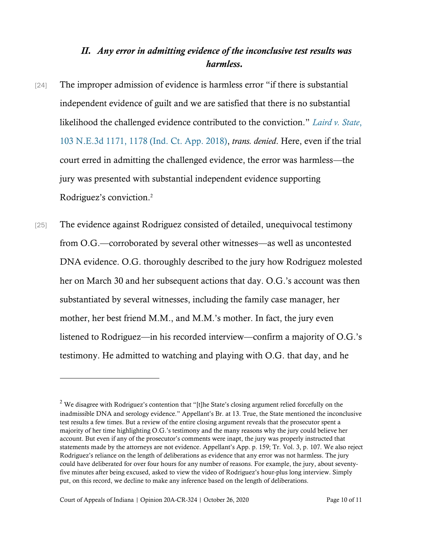## *II. Any error in admitting evidence of the inconclusive test results was harmless.*

- [24] The improper admission of evidence is harmless error "if there is substantial independent evidence of guilt and we are satisfied that there is no substantial likelihood the challenged evidence contributed to the conviction." *[Laird v. State](https://www.westlaw.com/Document/I0d9ab42070c911e8a5b89e7029628dd3/View/FullText.html?transitionType=Default&contextData=(sc.Default)&VR=3.0&RS=da3.0&fragmentIdentifier=co_pp_sp_7902_1178)*, [103 N.E.3d 1171, 1178 \(Ind. Ct. App. 2018\),](https://www.westlaw.com/Document/I0d9ab42070c911e8a5b89e7029628dd3/View/FullText.html?transitionType=Default&contextData=(sc.Default)&VR=3.0&RS=da3.0&fragmentIdentifier=co_pp_sp_7902_1178) *trans. denied*. Here, even if the trial court erred in admitting the challenged evidence, the error was harmless—the jury was presented with substantial independent evidence supporting Rodriguez's conviction.<sup>2</sup>
- [25] The evidence against Rodriguez consisted of detailed, unequivocal testimony from O.G.—corroborated by several other witnesses—as well as uncontested DNA evidence. O.G. thoroughly described to the jury how Rodriguez molested her on March 30 and her subsequent actions that day. O.G.'s account was then substantiated by several witnesses, including the family case manager, her mother, her best friend M.M., and M.M.'s mother. In fact, the jury even listened to Rodriguez—in his recorded interview—confirm a majority of O.G.'s testimony. He admitted to watching and playing with O.G. that day, and he

 $2$  We disagree with Rodriguez's contention that "[t]he State's closing argument relied forcefully on the inadmissible DNA and serology evidence." Appellant's Br. at 13. True, the State mentioned the inconclusive test results a few times. But a review of the entire closing argument reveals that the prosecutor spent a majority of her time highlighting O.G.'s testimony and the many reasons why the jury could believe her account. But even if any of the prosecutor's comments were inapt, the jury was properly instructed that statements made by the attorneys are not evidence. Appellant's App. p. 159; Tr. Vol. 3, p. 107. We also reject Rodriguez's reliance on the length of deliberations as evidence that any error was not harmless. The jury could have deliberated for over four hours for any number of reasons. For example, the jury, about seventyfive minutes after being excused, asked to view the video of Rodriguez's hour-plus long interview. Simply put, on this record, we decline to make any inference based on the length of deliberations.